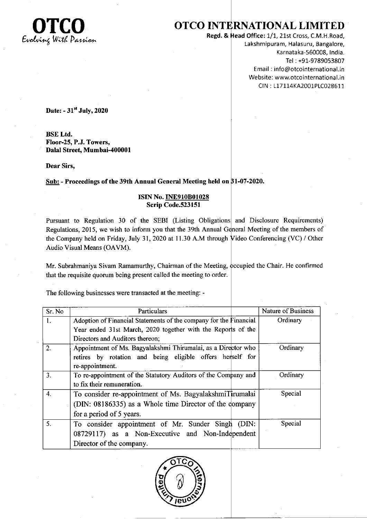

## OTCO INTERNATIONAL LIMITED

Regd. & Head Office: 1/1, 21st Cross, C.M.H.Road, Lakshmipuram, Halasuru, Bangalore, Karnataka-560008, India. Tel : +91-9789053807 Email : info@otcointernational.in Website: www.otcointernational.in CIN : 117114KA2001P1C028611

Date: - 31<sup>st</sup> July, 2020

BSE Ltd. Floor-25, P.J. Towers, Dalal Street, Mumbai-400001

Dear Sirs,

<u>Sub:</u> - Proceedings of the 39th Annual General Meeting held on <mark>31-07-2020</mark>.

## ISIN No. INE910B01028 Scrip Code.523151

Pursuant to Regulation 30 of the SEBI (Listing Obligations and Disclosure Requirements) Regulations, 2015, we wish to inform you that the 39th Annual General Meeting of the members of the Company held on Friday, July 31, 2020 at 11.30 A.M through Video Conferencing (VC) / Other Audio Visual Means (OAVM)

Mr. Subrahmaniya Sivam Ramamurthy, Chairman of the Meeting, ccupied the Chair. He confirmed that the requisite quorum being present called the meeting to order.

The following businesses were transacted at the meeting: -

| Sr. No         | Particulars                                                       | Nature of Business |
|----------------|-------------------------------------------------------------------|--------------------|
| $\mathbf{1}$ . | Adoption of Financial Statements of the company for the Financial | Ordinary           |
|                | Year ended 31st March, 2020 together with the Reports of the      |                    |
|                | Directors and Auditors thereon;                                   |                    |
| 2.             | Appointment of Ms. Bagyalakshmi Thirumalai, as a Director who     | Ordinary           |
|                | retires by rotation and being eligible offers herself for         |                    |
|                | re-appointment.                                                   |                    |
| 3.             | To re-appointment of the Statutory Auditors of the Company and    | Ordinary           |
|                | to fix their remuneration.                                        |                    |
| 4.             | To consider re-appointment of Ms. BagyalakshmiTirumalai           | Special            |
|                | (DIN: 08186335) as a Whole time Director of the dompany           |                    |
|                | for a period of 5 years.                                          |                    |
| 5.             | To consider appointment of Mr. Sunder Singh (DIN:                 | Special            |
|                | 08729117) as a Non-Executive and Non-Independent                  |                    |
|                | Director of the company.                                          |                    |